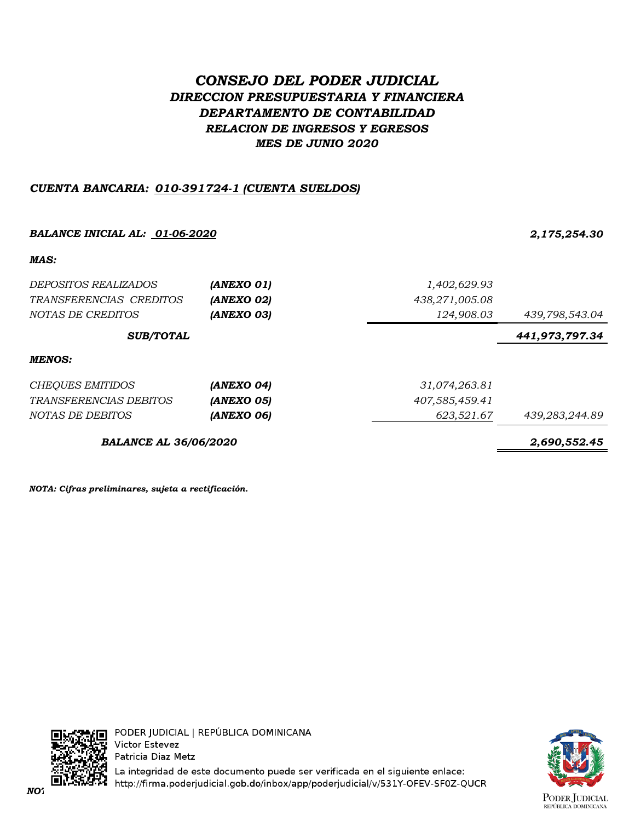# *CONSEJO DEL PODER JUDICIAL DIRECCION PRESUPUESTARIA Y FINANCIERA DEPARTAMENTO DE CONTABILIDAD RELACION DE INGRESOS Y EGRESOS MES DE JUNIO 2020*

## *CUENTA BANCARIA: 010-391724-1 (CUENTA SUELDOS)*

# *BALANCE INICIAL AL: 01-06-2020 2,175,254.30 MAS: DEPOSITOS REALIZADOS (ANEXO 01) 1,402,629.93 TRANSFERENCIAS CREDITOS (ANEXO 02) 438,271,005.08 NOTAS DE CREDITOS (ANEXO 03) 124,908.03 439,798,543.04 441,973,797.34 MENOS: CHEQUES EMITIDOS (ANEXO 04) 31,074,263.81 TRANSFERENCIAS DEBITOS (ANEXO 05) 407,585,459.41 NOTAS DE DEBITOS (ANEXO 06) 623,521.67 439,283,244.89 BALANCE AL 36/06/2020 2,690,552.45 SUB/TOTAL*

*NOTA: Cifras preliminares, sujeta a rectificación.*



La integridad de este documento puede ser verificada en el siguiente enlace: *NOTA: Cifras preliminares, sujetas a rectificación.*

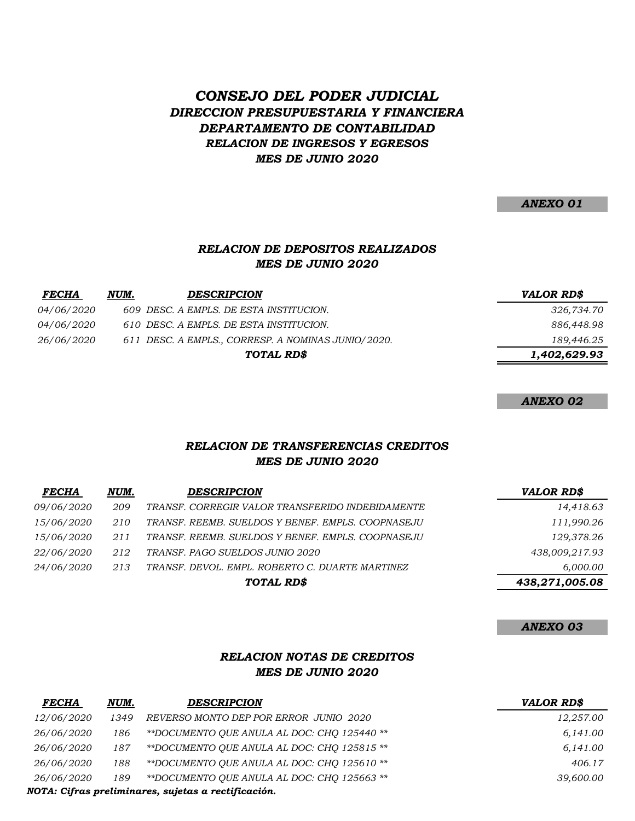## *DIRECCION PRESUPUESTARIA Y FINANCIERA DEPARTAMENTO DE CONTABILIDAD CONSEJO DEL PODER JUDICIAL RELACION DE INGRESOS Y EGRESOS MES DE JUNIO 2020*

*ANEXO 01*

#### *RELACION DE DEPOSITOS REALIZADOS MES DE JUNIO 2020*

| <b>FECHA</b>      | NUM. | <b>DESCRIPCION</b>                                 | <b>VALOR RD\$</b> |
|-------------------|------|----------------------------------------------------|-------------------|
| <i>04/06/2020</i> |      | 609 DESC. A EMPLS. DE ESTA INSTITUCION.            | 326,734.70        |
| <i>04/06/2020</i> |      | 610 DESC. A EMPLS. DE ESTA INSTITUCION.            | 886,448.98        |
| <i>26/06/2020</i> |      | 611 DESC. A EMPLS., CORRESP. A NOMINAS JUNIO/2020. | 189,446.25        |
|                   |      | TOTAL RD\$                                         | 1,402,629.93      |

*ANEXO 02*

#### *RELACION DE TRANSFERENCIAS CREDITOS MES DE JUNIO 2020*

| <b>FECHA</b>      | NUM. | <b>DESCRIPCION</b>                                | <b>VALOR RD\$</b> |
|-------------------|------|---------------------------------------------------|-------------------|
| <i>09/06/2020</i> | 209  | TRANSF. CORREGIR VALOR TRANSFERIDO INDEBIDAMENTE  | 14,418.63         |
| <i>15/06/2020</i> | 210  | TRANSF. REEMB. SUELDOS Y BENEF. EMPLS. COOPNASEJU | 111,990.26        |
| <i>15/06/2020</i> | 211  | TRANSF. REEMB. SUELDOS Y BENEF. EMPLS. COOPNASEJU | 129,378.26        |
| 22/06/2020        | 212  | TRANSF. PAGO SUELDOS JUNIO 2020                   | 438,009,217.93    |
| <i>24/06/2020</i> | 213  | TRANSF. DEVOL. EMPL. ROBERTO C. DUARTE MARTINEZ   | 6.000.00          |
|                   |      | TOTAL RD\$                                        | 438,271,005.08    |

#### *ANEXO 03*

#### *RELACION NOTAS DE CREDITOS MES DE JUNIO 2020*

| <b>FECHA</b> | NUM. | <b>DESCRIPCION</b>                                  | VALOR RD\$ |
|--------------|------|-----------------------------------------------------|------------|
| 12/06/2020   | 1349 | REVERSO MONTO DEP POR ERROR JUNIO 2020              | 12,257.00  |
| 26/06/2020   | 186  | **DOCUMENTO OUE ANULA AL DOC: CHO 125440 **         | 6.141.00   |
| 26/06/2020   | 187  | **DOCUMENTO OUE ANULA AL DOC: CHO 125815 **         | 6,141.00   |
| 26/06/2020   | 188  | **DOCUMENTO OUE ANULA AL DOC: CHO 125610 **         | 406.17     |
| 26/06/2020   | 189  | **DOCUMENTO OUE ANULA AL DOC: CHO 125663 **         | 39,600.00  |
|              |      | NOTA: Cifras preliminares, sujetas a rectificación. |            |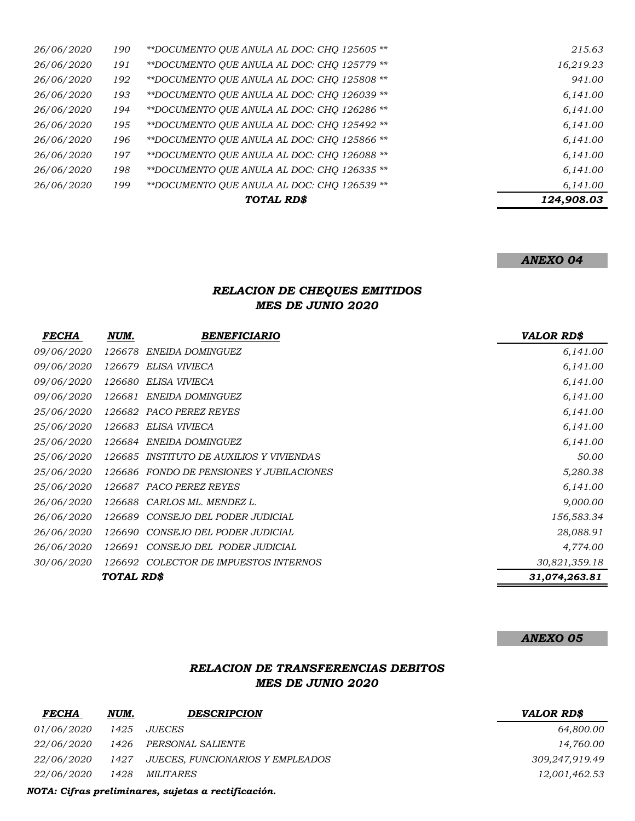|            |     | TOTAL RD\$                                  | 124,908.03 |
|------------|-----|---------------------------------------------|------------|
| 26/06/2020 | 199 | **DOCUMENTO QUE ANULA AL DOC: CHO 126539 ** | 6,141.00   |
| 26/06/2020 | 198 | **DOCUMENTO QUE ANULA AL DOC: CHO 126335 ** | 6,141.00   |
| 26/06/2020 | 197 | **DOCUMENTO QUE ANULA AL DOC: CHO 126088 ** | 6,141.00   |
| 26/06/2020 | 196 | **DOCUMENTO OUE ANULA AL DOC: CHO 125866 ** | 6,141.00   |
| 26/06/2020 | 195 | **DOCUMENTO QUE ANULA AL DOC: CHQ 125492 ** | 6,141.00   |
| 26/06/2020 | 194 | **DOCUMENTO QUE ANULA AL DOC: CHO 126286 ** | 6,141.00   |
| 26/06/2020 | 193 | **DOCUMENTO QUE ANULA AL DOC: CHQ 126039 ** | 6,141.00   |
| 26/06/2020 | 192 | **DOCUMENTO QUE ANULA AL DOC: CHO 125808 ** | 941.00     |
| 26/06/2020 | 191 | **DOCUMENTO QUE ANULA AL DOC: CHO 125779 ** | 16,219.23  |
| 26/06/2020 | 190 | **DOCUMENTO QUE ANULA AL DOC: CHQ 125605 ** | 215.63     |

#### *ANEXO 04*

## *RELACION DE CHEQUES EMITIDOS MES DE JUNIO 2020*

| <b>FECHA</b>      | NUM.       | <b>BENEFICIARIO</b>                      | <b>VALOR RD\$</b> |
|-------------------|------------|------------------------------------------|-------------------|
| <i>09/06/2020</i> | 126678     | ENEIDA DOMINGUEZ                         | 6,141.00          |
| <i>09/06/2020</i> | 126679     | ELISA VIVIECA                            | 6,141.00          |
| 09/06/2020        | 126680     | ELISA VIVIECA                            | 6,141.00          |
| 09/06/2020        | 126681     | ENEIDA DOMINGUEZ                         | 6,141.00          |
| <i>25/06/2020</i> | 126682     | PACO PEREZ REYES                         | 6,141.00          |
| 25/06/2020        | 126683     | ELISA VIVIECA                            | 6,141.00          |
| <i>25/06/2020</i> | 126684     | ENEIDA DOMINGUEZ                         | 6,141.00          |
| <i>25/06/2020</i> | 126685     | INSTITUTO DE AUXILIOS Y VIVIENDAS        | 50.00             |
| <i>25/06/2020</i> |            | 126686 FONDO DE PENSIONES Y JUBILACIONES | 5,280.38          |
| 25/06/2020        |            | 126687 PACO PEREZ REYES                  | 6,141.00          |
| 26/06/2020        | 126688     | CARLOS ML. MENDEZ L.                     | 9,000.00          |
| 26/06/2020        | 126689     | CONSEJO DEL PODER JUDICIAL               | 156,583.34        |
| 26/06/2020        | 126690     | CONSEJO DEL PODER JUDICIAL               | 28,088.91         |
| 26/06/2020        | 126691     | CONSEJO DEL PODER JUDICIAL               | 4,774.00          |
| 30/06/2020        | 126692     | COLECTOR DE IMPUESTOS INTERNOS           | 30,821,359.18     |
|                   | TOTAL RD\$ |                                          | 31,074,263.81     |

*ANEXO 05*

#### *RELACION DE TRANSFERENCIAS DEBITOS MES DE JUNIO 2020*

| <b>FECHA</b>      | NUM. | <b>DESCRIPCION</b>                    | <b>VALOR RD\$</b> |
|-------------------|------|---------------------------------------|-------------------|
| <i>01/06/2020</i> | 1425 | <i>JUECES</i>                         | 64,800.00         |
| <i>22/06/2020</i> |      | 1426 PERSONAL SALIENTE                | 14,760.00         |
| <i>22/06/2020</i> |      | 1427 JUECES, FUNCIONARIOS Y EMPLEADOS | 309,247,919.49    |
| <i>22/06/2020</i> | 1428 | <i>MILITARES</i>                      | 12,001,462.53     |
|                   |      |                                       |                   |

*NOTA: Cifras preliminares, sujetas a rectificación.*